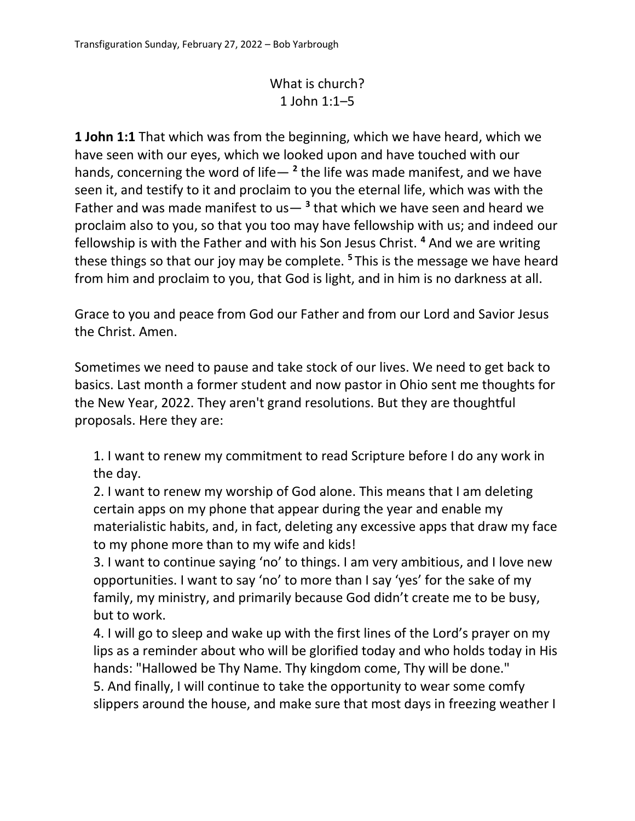## What is church? 1 John 1:1–5

**1 John 1:1** That which was from the beginning, which we have heard, which we have seen with our eyes, which we looked upon and have touched with our hands, concerning the word of life— **<sup>2</sup>** the life was made manifest, and we have seen it, and testify to it and proclaim to you the eternal life, which was with the Father and was made manifest to us— **<sup>3</sup>** that which we have seen and heard we proclaim also to you, so that you too may have fellowship with us; and indeed our fellowship is with the Father and with his Son Jesus Christ. **<sup>4</sup>** And we are writing these things so that our joy may be complete. **<sup>5</sup>**This is the message we have heard from him and proclaim to you, that God is light, and in him is no darkness at all.

Grace to you and peace from God our Father and from our Lord and Savior Jesus the Christ. Amen.

Sometimes we need to pause and take stock of our lives. We need to get back to basics. Last month a former student and now pastor in Ohio sent me thoughts for the New Year, 2022. They aren't grand resolutions. But they are thoughtful proposals. Here they are:

1. I want to renew my commitment to read Scripture before I do any work in the day.

2. I want to renew my worship of God alone. This means that I am deleting certain apps on my phone that appear during the year and enable my materialistic habits, and, in fact, deleting any excessive apps that draw my face to my phone more than to my wife and kids!

3. I want to continue saying 'no' to things. I am very ambitious, and I love new opportunities. I want to say 'no' to more than I say 'yes' for the sake of my family, my ministry, and primarily because God didn't create me to be busy, but to work.

4. I will go to sleep and wake up with the first lines of the Lord's prayer on my lips as a reminder about who will be glorified today and who holds today in His hands: "Hallowed be Thy Name. Thy kingdom come, Thy will be done." 5. And finally, I will continue to take the opportunity to wear some comfy slippers around the house, and make sure that most days in freezing weather I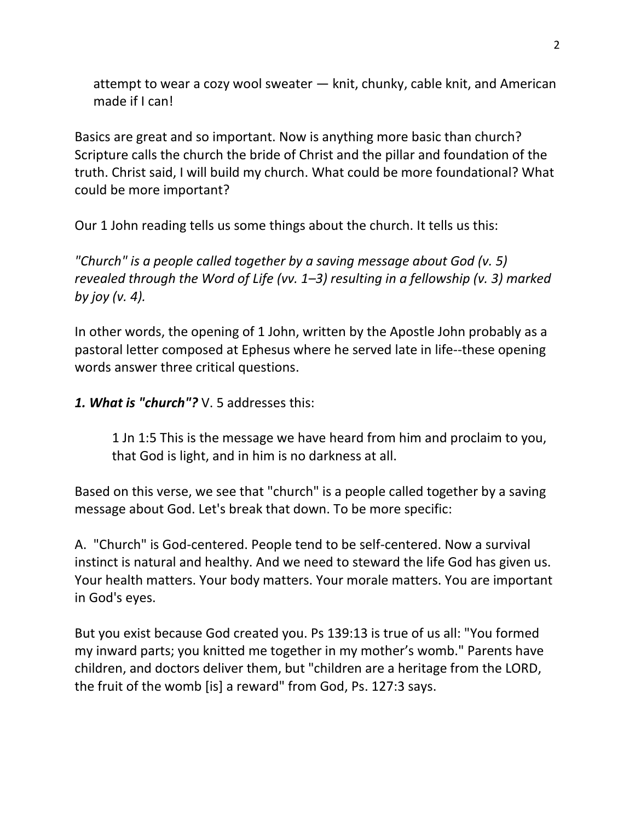attempt to wear a cozy wool sweater — knit, chunky, cable knit, and American made if I can!

Basics are great and so important. Now is anything more basic than church? Scripture calls the church the bride of Christ and the pillar and foundation of the truth. Christ said, I will build my church. What could be more foundational? What could be more important?

Our 1 John reading tells us some things about the church. It tells us this:

*"Church" is a people called together by a saving message about God (v. 5) revealed through the Word of Life (vv. 1–3) resulting in a fellowship (v. 3) marked by joy (v. 4).*

In other words, the opening of 1 John, written by the Apostle John probably as a pastoral letter composed at Ephesus where he served late in life--these opening words answer three critical questions.

*1. What is "church"?* V. 5 addresses this:

1 Jn 1:5 This is the message we have heard from him and proclaim to you, that God is light, and in him is no darkness at all.

Based on this verse, we see that "church" is a people called together by a saving message about God. Let's break that down. To be more specific:

A. "Church" is God-centered. People tend to be self-centered. Now a survival instinct is natural and healthy. And we need to steward the life God has given us. Your health matters. Your body matters. Your morale matters. You are important in God's eyes.

But you exist because God created you. Ps 139:13 is true of us all: "You formed my inward parts; you knitted me together in my mother's womb." Parents have children, and doctors deliver them, but "children are a heritage from the LORD, the fruit of the womb [is] a reward" from God, Ps. 127:3 says.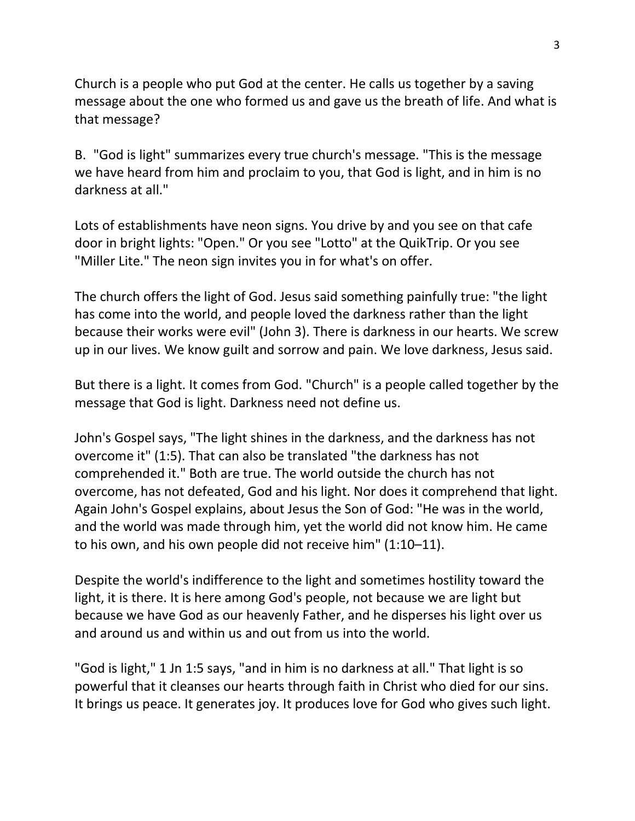Church is a people who put God at the center. He calls us together by a saving message about the one who formed us and gave us the breath of life. And what is that message?

B. "God is light" summarizes every true church's message. "This is the message we have heard from him and proclaim to you, that God is light, and in him is no darkness at all."

Lots of establishments have neon signs. You drive by and you see on that cafe door in bright lights: "Open." Or you see "Lotto" at the QuikTrip. Or you see "Miller Lite." The neon sign invites you in for what's on offer.

The church offers the light of God. Jesus said something painfully true: "the light has come into the world, and people loved the darkness rather than the light because their works were evil" (John 3). There is darkness in our hearts. We screw up in our lives. We know guilt and sorrow and pain. We love darkness, Jesus said.

But there is a light. It comes from God. "Church" is a people called together by the message that God is light. Darkness need not define us.

John's Gospel says, "The light shines in the darkness, and the darkness has not overcome it" (1:5). That can also be translated "the darkness has not comprehended it." Both are true. The world outside the church has not overcome, has not defeated, God and his light. Nor does it comprehend that light. Again John's Gospel explains, about Jesus the Son of God: "He was in the world, and the world was made through him, yet the world did not know him. He came to his own, and his own people did not receive him" (1:10–11).

Despite the world's indifference to the light and sometimes hostility toward the light, it is there. It is here among God's people, not because we are light but because we have God as our heavenly Father, and he disperses his light over us and around us and within us and out from us into the world.

"God is light," 1 Jn 1:5 says, "and in him is no darkness at all." That light is so powerful that it cleanses our hearts through faith in Christ who died for our sins. It brings us peace. It generates joy. It produces love for God who gives such light.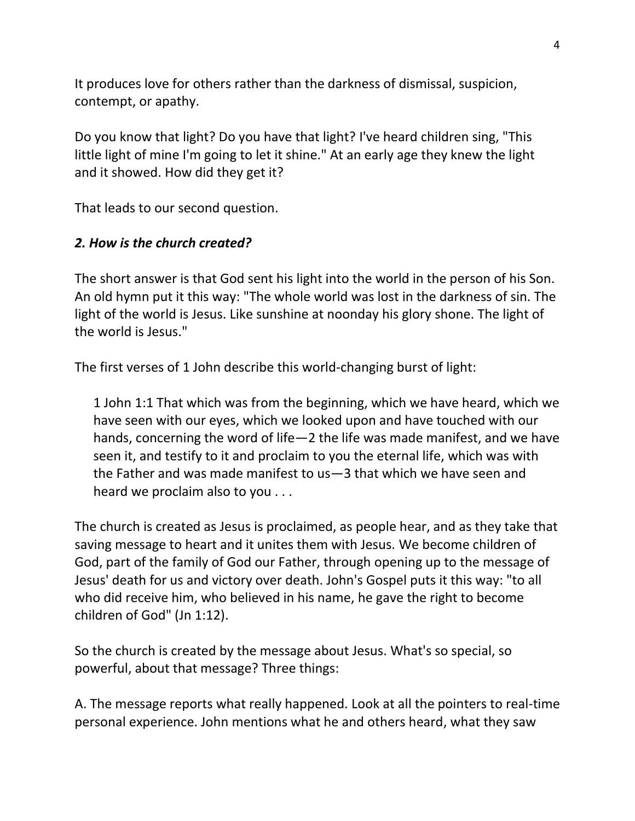It produces love for others rather than the darkness of dismissal, suspicion, contempt, or apathy.

Do you know that light? Do you have that light? I've heard children sing, "This little light of mine I'm going to let it shine." At an early age they knew the light and it showed. How did they get it?

That leads to our second question.

## *2. How is the church created?*

The short answer is that God sent his light into the world in the person of his Son. An old hymn put it this way: "The whole world was lost in the darkness of sin. The light of the world is Jesus. Like sunshine at noonday his glory shone. The light of the world is Jesus."

The first verses of 1 John describe this world-changing burst of light:

1 John 1:1 That which was from the beginning, which we have heard, which we have seen with our eyes, which we looked upon and have touched with our hands, concerning the word of life—2 the life was made manifest, and we have seen it, and testify to it and proclaim to you the eternal life, which was with the Father and was made manifest to us—3 that which we have seen and heard we proclaim also to you . . .

The church is created as Jesus is proclaimed, as people hear, and as they take that saving message to heart and it unites them with Jesus. We become children of God, part of the family of God our Father, through opening up to the message of Jesus' death for us and victory over death. John's Gospel puts it this way: "to all who did receive him, who believed in his name, he gave the right to become children of God" (Jn 1:12).

So the church is created by the message about Jesus. What's so special, so powerful, about that message? Three things:

A. The message reports what really happened. Look at all the pointers to real-time personal experience. John mentions what he and others heard, what they saw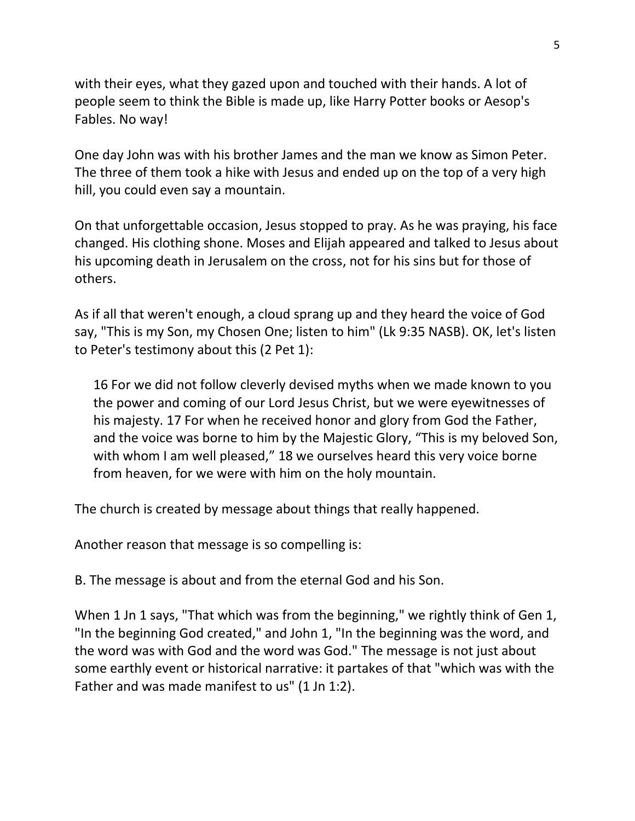with their eyes, what they gazed upon and touched with their hands. A lot of people seem to think the Bible is made up, like Harry Potter books or Aesop's Fables. No way!

One day John was with his brother James and the man we know as Simon Peter. The three of them took a hike with Jesus and ended up on the top of a very high hill, you could even say a mountain.

On that unforgettable occasion, Jesus stopped to pray. As he was praying, his face changed. His clothing shone. Moses and Elijah appeared and talked to Jesus about his upcoming death in Jerusalem on the cross, not for his sins but for those of others.

As if all that weren't enough, a cloud sprang up and they heard the voice of God say, "This is my Son, my Chosen One; listen to him" (Lk 9:35 NASB). OK, let's listen to Peter's testimony about this (2 Pet 1):

16 For we did not follow cleverly devised myths when we made known to you the power and coming of our Lord Jesus Christ, but we were eyewitnesses of his majesty. 17 For when he received honor and glory from God the Father, and the voice was borne to him by the Majestic Glory, "This is my beloved Son, with whom I am well pleased," 18 we ourselves heard this very voice borne from heaven, for we were with him on the holy mountain.

The church is created by message about things that really happened.

Another reason that message is so compelling is:

B. The message is about and from the eternal God and his Son.

When 1 Jn 1 says, "That which was from the beginning," we rightly think of Gen 1, "In the beginning God created," and John 1, "In the beginning was the word, and the word was with God and the word was God." The message is not just about some earthly event or historical narrative: it partakes of that "which was with the Father and was made manifest to us" (1 Jn 1:2).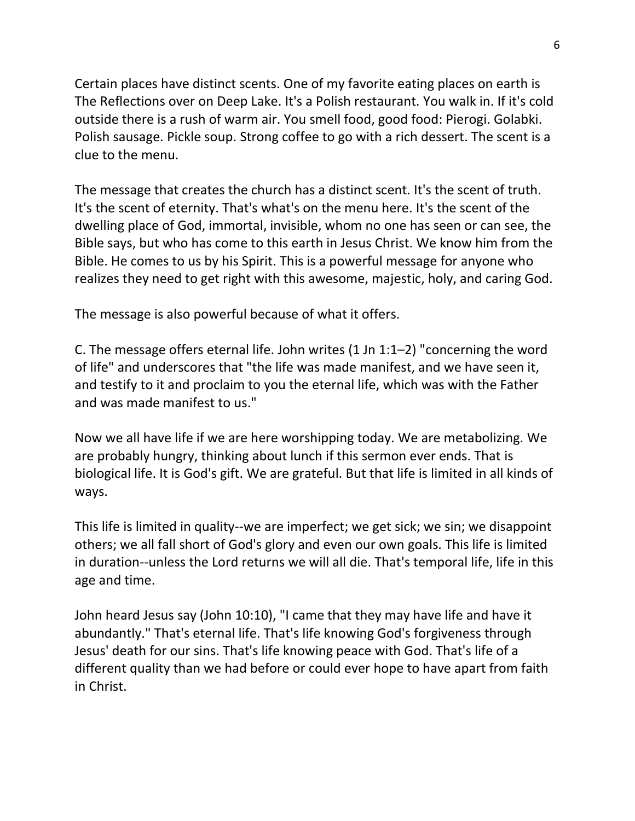Certain places have distinct scents. One of my favorite eating places on earth is The Reflections over on Deep Lake. It's a Polish restaurant. You walk in. If it's cold outside there is a rush of warm air. You smell food, good food: Pierogi. Golabki. Polish sausage. Pickle soup. Strong coffee to go with a rich dessert. The scent is a clue to the menu.

The message that creates the church has a distinct scent. It's the scent of truth. It's the scent of eternity. That's what's on the menu here. It's the scent of the dwelling place of God, immortal, invisible, whom no one has seen or can see, the Bible says, but who has come to this earth in Jesus Christ. We know him from the Bible. He comes to us by his Spirit. This is a powerful message for anyone who realizes they need to get right with this awesome, majestic, holy, and caring God.

The message is also powerful because of what it offers.

C. The message offers eternal life. John writes (1 Jn 1:1–2) "concerning the word of life" and underscores that "the life was made manifest, and we have seen it, and testify to it and proclaim to you the eternal life, which was with the Father and was made manifest to us."

Now we all have life if we are here worshipping today. We are metabolizing. We are probably hungry, thinking about lunch if this sermon ever ends. That is biological life. It is God's gift. We are grateful. But that life is limited in all kinds of ways.

This life is limited in quality--we are imperfect; we get sick; we sin; we disappoint others; we all fall short of God's glory and even our own goals. This life is limited in duration--unless the Lord returns we will all die. That's temporal life, life in this age and time.

John heard Jesus say (John 10:10), "I came that they may have life and have it abundantly." That's eternal life. That's life knowing God's forgiveness through Jesus' death for our sins. That's life knowing peace with God. That's life of a different quality than we had before or could ever hope to have apart from faith in Christ.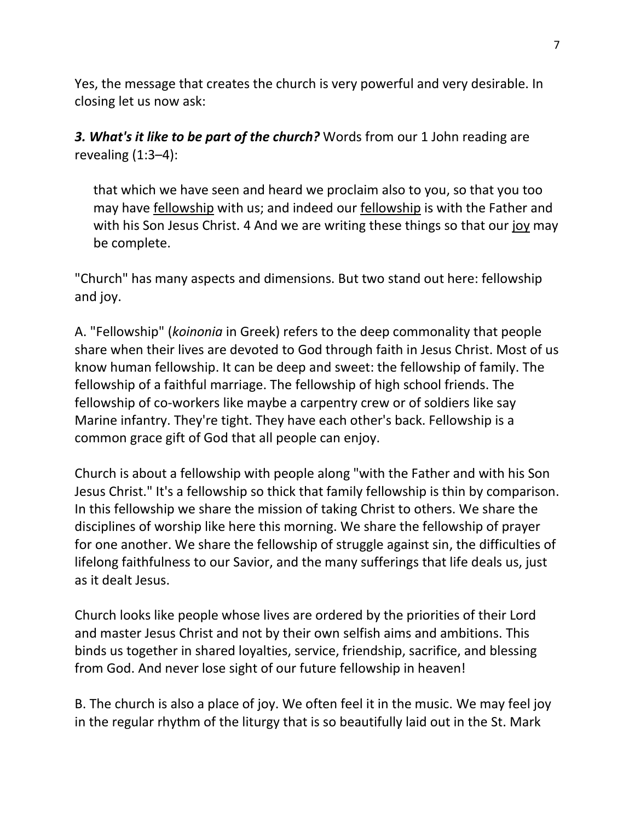Yes, the message that creates the church is very powerful and very desirable. In closing let us now ask:

*3. What's it like to be part of the church?* Words from our 1 John reading are revealing  $(1:3-4)$ :

that which we have seen and heard we proclaim also to you, so that you too may have fellowship with us; and indeed our fellowship is with the Father and with his Son Jesus Christ. 4 And we are writing these things so that our joy may be complete.

"Church" has many aspects and dimensions. But two stand out here: fellowship and joy.

A. "Fellowship" (*koinonia* in Greek) refers to the deep commonality that people share when their lives are devoted to God through faith in Jesus Christ. Most of us know human fellowship. It can be deep and sweet: the fellowship of family. The fellowship of a faithful marriage. The fellowship of high school friends. The fellowship of co-workers like maybe a carpentry crew or of soldiers like say Marine infantry. They're tight. They have each other's back. Fellowship is a common grace gift of God that all people can enjoy.

Church is about a fellowship with people along "with the Father and with his Son Jesus Christ." It's a fellowship so thick that family fellowship is thin by comparison. In this fellowship we share the mission of taking Christ to others. We share the disciplines of worship like here this morning. We share the fellowship of prayer for one another. We share the fellowship of struggle against sin, the difficulties of lifelong faithfulness to our Savior, and the many sufferings that life deals us, just as it dealt Jesus.

Church looks like people whose lives are ordered by the priorities of their Lord and master Jesus Christ and not by their own selfish aims and ambitions. This binds us together in shared loyalties, service, friendship, sacrifice, and blessing from God. And never lose sight of our future fellowship in heaven!

B. The church is also a place of joy. We often feel it in the music. We may feel joy in the regular rhythm of the liturgy that is so beautifully laid out in the St. Mark